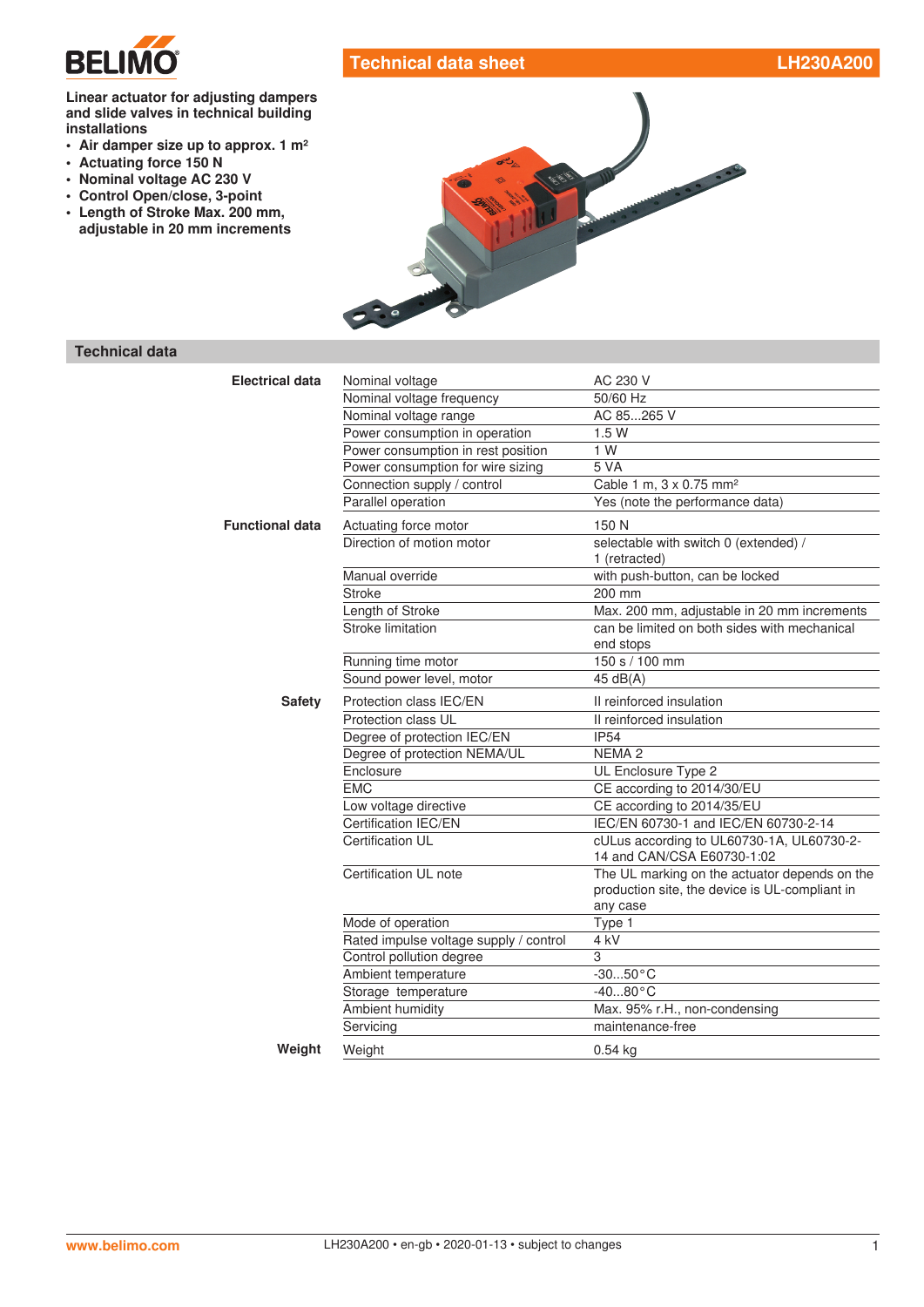

# **Technical data sheet LH230A200**

#### **Linear actuator for adjusting dampers and slide valves in technical building installations**

- **• Air damper size up to approx. 1 m²**
- **• Actuating force 150 N**
- **• Nominal voltage AC 230 V**
- **• Control Open/close, 3-point**
- **• Length of Stroke Max. 200 mm, adjustable in 20 mm increments**



# **Technical data**

| <b>Electrical data</b> | Nominal voltage                        | AC 230 V                                                                                                    |
|------------------------|----------------------------------------|-------------------------------------------------------------------------------------------------------------|
|                        | Nominal voltage frequency              | 50/60 Hz                                                                                                    |
|                        | Nominal voltage range                  | AC 85265 V                                                                                                  |
|                        | Power consumption in operation         | 1.5W                                                                                                        |
|                        | Power consumption in rest position     | 1 W                                                                                                         |
|                        | Power consumption for wire sizing      | 5 VA                                                                                                        |
|                        | Connection supply / control            | Cable 1 m, 3 x 0.75 mm <sup>2</sup>                                                                         |
|                        | Parallel operation                     | Yes (note the performance data)                                                                             |
| <b>Functional data</b> | Actuating force motor                  | 150 N                                                                                                       |
|                        | Direction of motion motor              | selectable with switch 0 (extended) /<br>1 (retracted)                                                      |
|                        | Manual override                        | with push-button, can be locked                                                                             |
|                        | <b>Stroke</b>                          | 200 mm                                                                                                      |
|                        | Length of Stroke                       | Max. 200 mm, adjustable in 20 mm increments                                                                 |
|                        | Stroke limitation                      | can be limited on both sides with mechanical<br>end stops                                                   |
|                        | Running time motor                     | 150 s / 100 mm                                                                                              |
|                        | Sound power level, motor               | 45 $dB(A)$                                                                                                  |
| <b>Safety</b>          | Protection class IEC/EN                | II reinforced insulation                                                                                    |
|                        | Protection class UL                    | II reinforced insulation                                                                                    |
|                        | Degree of protection IEC/EN            | <b>IP54</b>                                                                                                 |
|                        | Degree of protection NEMA/UL           | NEMA <sub>2</sub>                                                                                           |
|                        | Enclosure                              | UL Enclosure Type 2                                                                                         |
|                        | <b>EMC</b>                             | CE according to 2014/30/EU                                                                                  |
|                        | Low voltage directive                  | CE according to 2014/35/EU                                                                                  |
|                        | Certification IEC/EN                   | IEC/EN 60730-1 and IEC/EN 60730-2-14                                                                        |
|                        | <b>Certification UL</b>                | cULus according to UL60730-1A, UL60730-2-<br>14 and CAN/CSA E60730-1:02                                     |
|                        | Certification UL note                  | The UL marking on the actuator depends on the<br>production site, the device is UL-compliant in<br>any case |
|                        | Mode of operation                      | Type 1                                                                                                      |
|                        | Rated impulse voltage supply / control | 4 kV                                                                                                        |
|                        | Control pollution degree               | 3                                                                                                           |
|                        | Ambient temperature                    | $-3050$ °C                                                                                                  |
|                        | Storage temperature                    | $-4080 °C$                                                                                                  |
|                        | Ambient humidity                       | Max. 95% r.H., non-condensing                                                                               |
|                        | Servicing                              | maintenance-free                                                                                            |
| Weight                 | Weight                                 | $0.54$ kg                                                                                                   |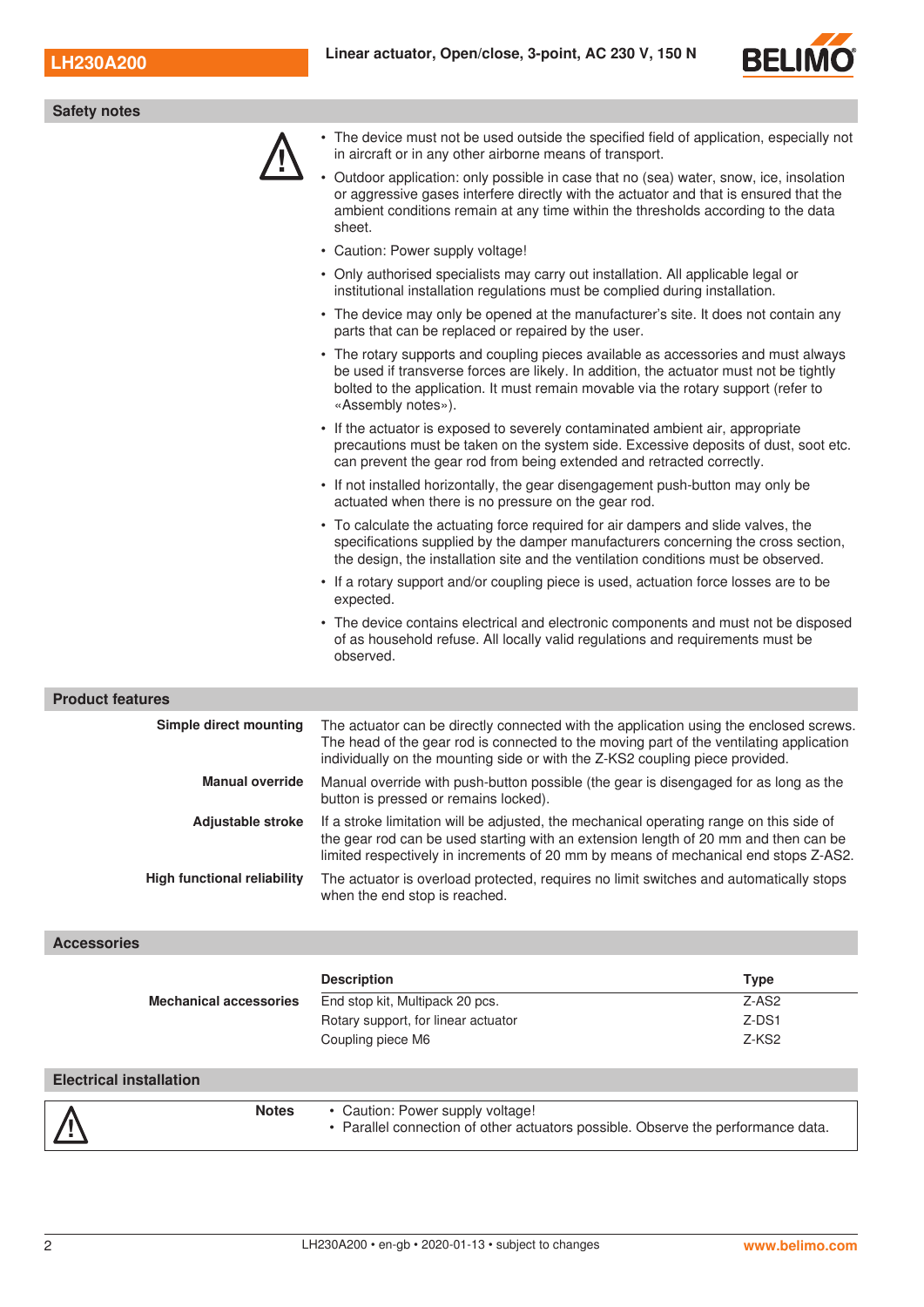

| <b>Safety notes</b>     |                                                                                                                                                                                                                                                                                          |
|-------------------------|------------------------------------------------------------------------------------------------------------------------------------------------------------------------------------------------------------------------------------------------------------------------------------------|
|                         | • The device must not be used outside the specified field of application, especially not<br>in aircraft or in any other airborne means of transport.                                                                                                                                     |
|                         | Outdoor application: only possible in case that no (sea) water, snow, ice, insolation<br>or aggressive gases interfere directly with the actuator and that is ensured that the<br>ambient conditions remain at any time within the thresholds according to the data<br>sheet.            |
|                         | • Caution: Power supply voltage!                                                                                                                                                                                                                                                         |
|                         | • Only authorised specialists may carry out installation. All applicable legal or<br>institutional installation regulations must be complied during installation.                                                                                                                        |
|                         | • The device may only be opened at the manufacturer's site. It does not contain any<br>parts that can be replaced or repaired by the user.                                                                                                                                               |
|                         | • The rotary supports and coupling pieces available as accessories and must always<br>be used if transverse forces are likely. In addition, the actuator must not be tightly<br>bolted to the application. It must remain movable via the rotary support (refer to<br>«Assembly notes»). |
|                         | • If the actuator is exposed to severely contaminated ambient air, appropriate<br>precautions must be taken on the system side. Excessive deposits of dust, soot etc.<br>can prevent the gear rod from being extended and retracted correctly.                                           |
|                         | • If not installed horizontally, the gear disengagement push-button may only be<br>actuated when there is no pressure on the gear rod.                                                                                                                                                   |
|                         | • To calculate the actuating force required for air dampers and slide valves, the<br>specifications supplied by the damper manufacturers concerning the cross section,<br>the design, the installation site and the ventilation conditions must be observed.                             |
|                         | • If a rotary support and/or coupling piece is used, actuation force losses are to be<br>expected.                                                                                                                                                                                       |
|                         | • The device contains electrical and electronic components and must not be disposed<br>of as household refuse. All locally valid regulations and requirements must be<br>observed.                                                                                                       |
| <b>Product features</b> |                                                                                                                                                                                                                                                                                          |
| Simple direct mounting  | The actuator can be directly connected with the application using the enclosed screws.<br>The head of the gear rod is connected to the moving part of the ventilating application<br>individually on the mounting side or with the Z-KS2 coupling piece provided.                        |

| Manual override | Manual override with push-button possible (the gear is disengaged for as long as the |  |
|-----------------|--------------------------------------------------------------------------------------|--|
|                 | button is pressed or remains locked).                                                |  |

| <b>Adjustable stroke</b> If a stroke limitation will be adjusted, the mechanical operating range on this side of |
|------------------------------------------------------------------------------------------------------------------|
| the gear rod can be used starting with an extension length of 20 mm and then can be                              |
| limited respectively in increments of 20 mm by means of mechanical end stops Z-AS2.                              |
|                                                                                                                  |

### **High functional reliability** The actuator is overload protected, requires no limit switches and automatically stops when the end stop is reached.

# **Accessories**

|                                | <b>Description</b>                                                                                                   | <b>Type</b>       |
|--------------------------------|----------------------------------------------------------------------------------------------------------------------|-------------------|
| <b>Mechanical accessories</b>  | End stop kit, Multipack 20 pcs.                                                                                      | $Z-AS2$           |
|                                | Rotary support, for linear actuator                                                                                  | Z-DS1             |
|                                | Coupling piece M6                                                                                                    | Z-KS <sub>2</sub> |
|                                |                                                                                                                      |                   |
| <b>Electrical installation</b> |                                                                                                                      |                   |
| <b>Notes</b>                   | • Caution: Power supply voltage!<br>• Parallel connection of other actuators possible. Observe the performance data. |                   |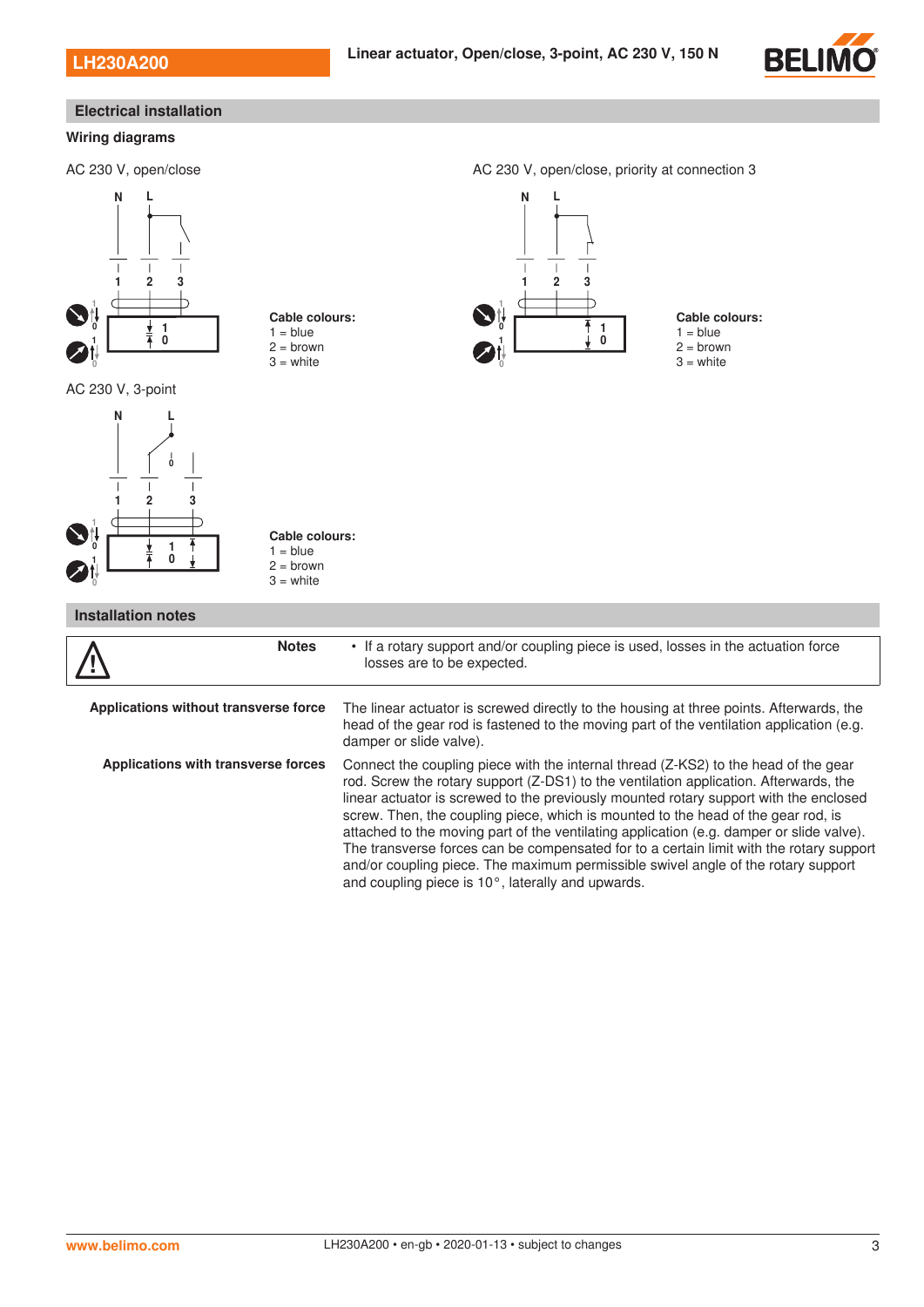